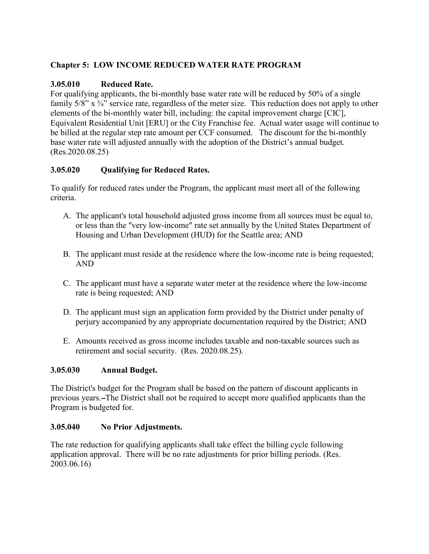# **Chapter 5: LOW INCOME REDUCED WATER RATE PROGRAM**

### **3.05.010 Reduced Rate.**

For qualifying applicants, the bi-monthly base water rate will be reduced by 50% of a single family  $5/8$ " x  $\frac{3}{4}$ " service rate, regardless of the meter size. This reduction does not apply to other elements of the bi-monthly water bill, including: the capital improvement charge [CIC], Equivalent Residential Unit [ERU] or the City Franchise fee. Actual water usage will continue to be billed at the regular step rate amount per CCF consumed. The discount for the bi-monthly base water rate will adjusted annually with the adoption of the District's annual budget. (Res.2020.08.25)

## **3.05.020 Qualifying for Reduced Rates.**

To qualify for reduced rates under the Program, the applicant must meet all of the following criteria.

- A. The applicant's total household adjusted gross income from all sources must be equal to, or less than the "very low-income" rate set annually by the United States Department of Housing and Urban Development (HUD) for the Seattle area; AND
- B. The applicant must reside at the residence where the low-income rate is being requested; AND
- C. The applicant must have a separate water meter at the residence where the low-income rate is being requested; AND
- D. The applicant must sign an application form provided by the District under penalty of perjury accompanied by any appropriate documentation required by the District; AND
- E. Amounts received as gross income includes taxable and non-taxable sources such as retirement and social security. (Res. 2020.08.25).

### **3.05.030 Annual Budget.**

The District's budget for the Program shall be based on the pattern of discount applicants in previous years. The District shall not be required to accept more qualified applicants than the Program is budgeted for.

### **3.05.040 No Prior Adjustments.**

The rate reduction for qualifying applicants shall take effect the billing cycle following application approval. There will be no rate adjustments for prior billing periods. (Res. 2003.06.16)